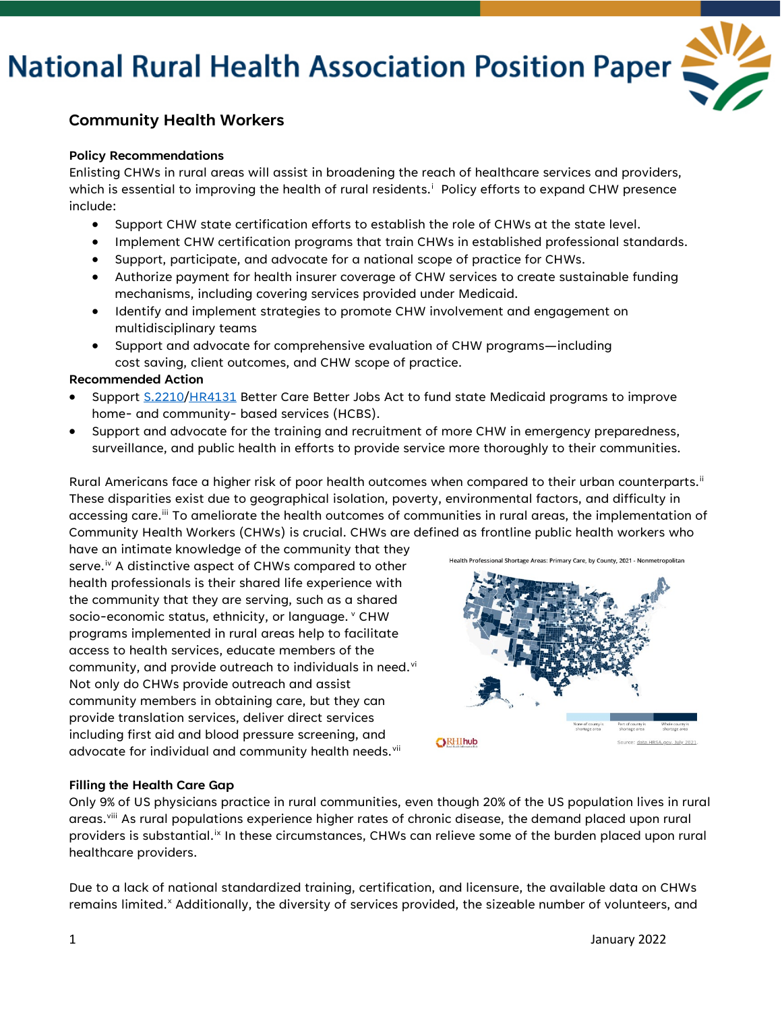# **National Rural Health Association Position Paper**



### **Community Health Workers**

#### **Policy Recommendations**

Enlisting CHWs in rural areas will assist in broadening the reach of healthcare services and providers, wh[i](#page-1-0)ch is essential to improving the health of rural residents. $^{\mathrm{i}}$  Policy efforts to expand CHW presence include:

- Support CHW state certification efforts to establish the role of CHWs at the state level.
- Implement CHW certification programs that train CHWs in established professional standards.
- Support, participate, and advocate for a national scope of practice for CHWs.
- Authorize payment for health insurer coverage of CHW services to create sustainable funding mechanisms, including covering services provided under Medicaid.
- Identify and implement strategies to promote CHW involvement and engagement on multidisciplinary teams
- Support and advocate for comprehensive evaluation of CHW programs—including cost saving, client outcomes, and CHW scope of practice.

#### **Recommended Action**

- Support [S.2210](https://www.congress.gov/bill/117th-congress/senate-bill/2210)[/HR4131](https://www.congress.gov/bill/117th-congress/house-bill/4131?q=%7B%22search%22%3A%5B%22HR4131%22%2C%22HR4131%22%5D%7D&s=1&r=1) Better Care Better Jobs Act to fund state Medicaid programs to improve home- and community- based services (HCBS).
- Support and advocate for the training and recruitment of more CHW in emergency preparedness, surveillance, and public health in efforts to provide service more thoroughly to their communities.

Rural Americans face a higher risk of poor health outcomes when compared to their urban counterparts.<sup>[ii](#page-1-1)</sup> These disparities exist due to geographical isolation, poverty, environmental factors, and difficulty in accessing care.<sup>ii</sup> To ameliorate the health outcomes of communities in rural areas, the implementation of Community Health Workers (CHWs) is crucial. CHWs are defined as frontline public health workers who

have an intimate knowledge of the community that they serve.<sup>[iv](#page-1-3)</sup> A distinctive aspect of CHWs compared to other health professionals is their shared life experience with the community that they are serving, such as a shared socio-economic status, ethnicity, or language. VCHW programs implemented in rural areas help to facilitate access to health services, educate members of the community, and pro[vi](#page-1-5)de outreach to individuals in need. $v$ <sup>i</sup> Not only do CHWs provide outreach and assist community members in obtaining care, but they can provide translation services, deliver direct services including first aid and blood pressure screening, and advocate for individual and community health needs.<sup>[vii](#page-1-6)</sup>



#### **Filling the Health Care Gap**

Only 9% of US physicians practice in rural communities, even though 20% of the US population lives in rural areas.[viii](#page-1-7) As rural populations experience higher rates of chronic disease, the demand placed upon rural providers is substantial.<sup>[ix](#page-1-8)</sup> In these circumstances, CHWs can relieve some of the burden placed upon rural healthcare providers.

Due to a lack of national standardized training, certification, and licensure, the available data on CHWs remains limited.<sup>[x](#page-1-9)</sup> Additionally, the diversity of services provided, the sizeable number of volunteers, and